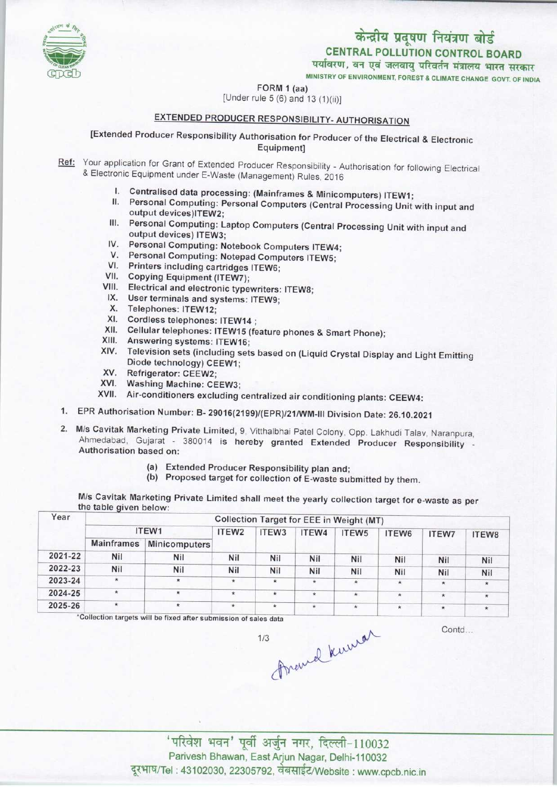

FORM 1 (aa)



## EXTENDED PRODUCER RESPONSIBILITY- AUTHORISATION

[Extended Producer Responsibility Authorisation for Producer of the Electrical & Electronic Equipment]

Ref: Your application for Grant of Extended Producer Responsibility - Authorisation for following Electrical & Electronic Equipment under E-Waste (Management) Rules, 2016

- I. Centralised data processing: (Mainframes & Minicomputers) ITEW1;
- II. Personal Computing: Personal Computers (Central Processing Unit with input and output devices)ITEW2;
- III. Personal Computing: Laptop Computers (Central Processing Unit with input and output devices) ITEW3; IV. Personal Computing: Laptop Computers (Central Financial Computing: Notebook Computers ITEW4;
- 
- V. Personal Computing: Notebook Computers ITEW-<br>V. Personal Computing: Notepad Computers ITEW5; V. Personal Computing: Notepad Computers ITEW5;<br>VI. Printers including cartridges ITEW6;
- 
- VII.Copying Equipment (ITEW7);
- VII. Copying Equipment (ITEW7);<br>VIII. Electrical and electronic typewriters: ITEW8; III. Electrical and electronic typewriters<br>IX. User terminals and systems: ITEW9;
- IX. User terminals and systems: ITEW9;<br>X. Telephones: ITEW12;
- 
- XI. Cordless telephones: ITEW14 ;
- XI. Cordless telephones: ITEW14 ;<br>XI. Cordless telephones: ITEW14 ;<br>XII. Cellular telephones: ITEW15 (feature phones & Smart Phone);
- XII. Cellular telephones: ITEW15<br>XIII. Answering systems: ITEW16;
- XIII. Answering systems: ITEW16;<br>XIV. Television sets (including sets based on (Liquid Crystal Display and Light Emitting Diode technology) CEEW1;
- XV. Refrigerator: CEEW2;
- XVI. Washing Machine: CEEW3;
- XVII. Air-conditioners excluding centralized air conditioning plants: CEEW4:
- 1.EPR Authorisation Number: B- 29016(2199)/(EPR)/21/WM-lll Division Date: 26.10.2021
- 2. M/s Cavitak Marketing Private Limited, 9, Vitthalbhai Patel Colony, Opp. Lakhudi Talav, Naranpura, Ahmedabad, Gujarat - 380014 is hereby granted Extended Producer Responsibility -Authorisation based on:
	- (a)Extended Producer Responsibility plan and;
	- (b) Proposed target for collection of E-waste submitted by them.

M/s Cavitak Marketing Private Limited shall meet the yearly collection target for e-waste as per the table given below:

| Collection Target for EEE in Weight (MT) |               |                   |                   |         |                   |         |                          |                               |  |
|------------------------------------------|---------------|-------------------|-------------------|---------|-------------------|---------|--------------------------|-------------------------------|--|
|                                          |               | ITEW <sub>2</sub> | ITEW <sub>3</sub> | ITEW4   | ITEW <sub>5</sub> | ITEW6   | <b>ITEW7</b>             | ITEW8<br>Nil<br>Nil<br>$\ast$ |  |
| <b>Mainframes</b>                        | Minicomputers |                   |                   |         |                   |         |                          |                               |  |
| Nil                                      | Nil           | Nil               | Nil               | Nil     | Nil               |         |                          |                               |  |
| Nil                                      | Nil           | Nil               | Nil               | Nil     | <b>Nil</b>        |         |                          |                               |  |
| $\star$                                  |               | $\star$           | $\star$           | $\star$ | $\star$           | $\star$ | $\star$                  |                               |  |
| ÷                                        |               | ÷                 | $\star$           | $\star$ | $\star$           | $\star$ | $\star$                  |                               |  |
|                                          | $\star$       | $\star$           | $\star$           | $\star$ | $^\star$          | $\star$ | $\star$                  | $\star$                       |  |
|                                          |               | ITEW1             |                   |         |                   |         | <b>Nil</b><br><b>Nil</b> | Nil<br>Nil                    |  |

\*Collection targets will be fixed after submission of sales data

 $1/3$ 

Contd...

' परिवेश भवन' पूर्वी अर्जुन नगर, दिल्ली-110032 Parivesh Bhawan, East Arjun Nagar, Delhi-110032 दूरभाष/Tel : 43102030, 22305792, वेबसाईट/Website : www.cpcb.nic.in

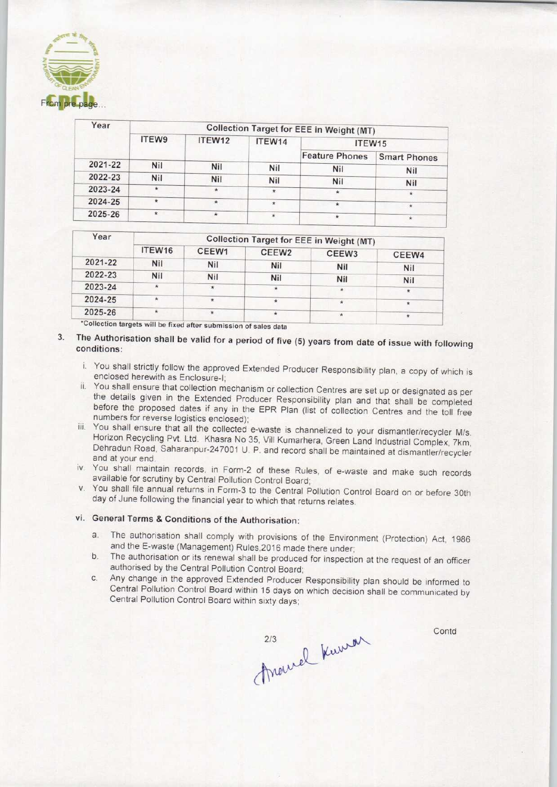

| Year    | <b>Collection Target for EEE in Weight (MT)</b> |            |            |                       |                     |  |  |
|---------|-------------------------------------------------|------------|------------|-----------------------|---------------------|--|--|
|         | ITEW9                                           | ITEW12     | ITEW14     | ITEW15                |                     |  |  |
|         |                                                 |            |            | <b>Feature Phones</b> | <b>Smart Phones</b> |  |  |
| 2021-22 | Nil                                             | Nil        | <b>Nil</b> | Nil                   | Nil                 |  |  |
| 2022-23 | Nil                                             | <b>Nil</b> | Nil        | Nil                   | Nil                 |  |  |
| 2023-24 | $\star$                                         | $\star$    | $\star$    | $\star$               |                     |  |  |
| 2024-25 | $\ast$                                          | $\star$    | $\star$    | $\star$               |                     |  |  |
| 2025-26 | $\star$                                         | ÷          | $\star$    | $\star$               |                     |  |  |

| ITEW <sub>16</sub> | CEEW1      | CEEW <sub>2</sub> | CEEW <sub>3</sub> | CEEW4                                                         |  |  |
|--------------------|------------|-------------------|-------------------|---------------------------------------------------------------|--|--|
| Nil                | <b>Nil</b> | Nil               |                   | Nil                                                           |  |  |
| <b>Nil</b>         | Nil        | Nil               |                   | <b>Nil</b>                                                    |  |  |
| $\star$            |            | $\star$           | $\star$           | $\star$                                                       |  |  |
|                    | $\star$    |                   |                   | $\star$                                                       |  |  |
| $\star$            |            |                   | ₩                 |                                                               |  |  |
|                    |            |                   |                   | Collection Target for EEE in Weight (MT)<br>Nil<br><b>Nil</b> |  |  |

\*Collection targets will be fixed after submission of sales data

- 3. The Authorisation shali be valid for a period of five (5) years from date of issue with following conditions:
	- i. You shall strictly follow the approved Extended Producer Responsibility plan, a copy of which is enclosed herewith as Enclosure-I;
	- ii. You shall ensure that collection mechanism or collection Centres are set up or designated as per the details given in the Extended Producer Responsibility plan and that shall be completed before the proposed dates if any in the EPR Plan {list of collection Centres and the toll free numbers for reverse logistics enclosed);
	- iii. You shall ensure that all the collected e-waste is channelized to your dismantler/recycler M/s. Horizon Recycling Pvt. Ltd. Khasra No 35, VIII Kumarhera, Green Land Industrial Complex, 7km, Dehradun Road, Saharanpur-247001 U. P, and record shall be maintained at dismantler/recycler and at your end.
	- iv. You shall maintain records, in Form-2 of these Rules, of e-waste and make such records available for scrutiny by Central Pollution Control Board;
	- v. You shall file annual returns in Form-3 to the Central Pollution Control Board on or before 30th day of June following the financial year to which that returns relates.

## vi. General Terms & Conditions of the Authorisation:

- a.The authorisation shall comply with provisions of the Environment (Protection) Act, <sup>1986</sup> and the E-waste (Management) Rules,2016 made there under;
- b.The authorisation or its renewal shall be produced for inspection at the request of an officer authorised by the Central Pollution Control Board;
- c.Any change in the approved Extended Producer Responsibility plan should be informed to Central Pollution Control Board within 15 days on which decision shall be communicated by Central Pollution Control Board within sixty days;

213 Rumon

**Contd**